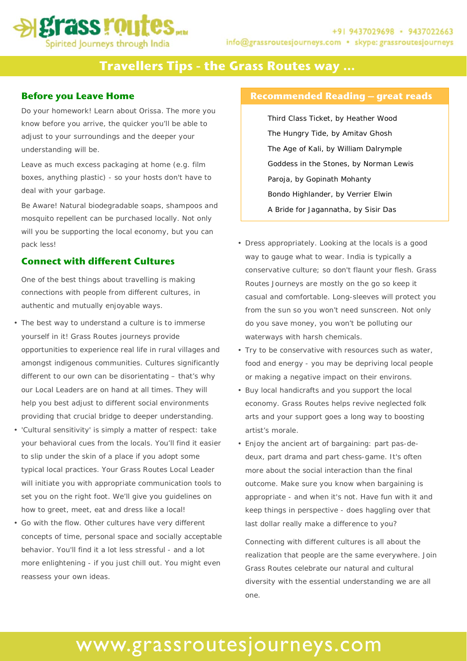# **Travellers Tips - the Grass Routes way …**

### **Before you Leave Home**

Do your homework! Learn about Orissa. The more you know before you arrive, the quicker you'll be able to adjust to your surroundings and the deeper your understanding will be.

Leave as much excess packaging at home (e.g. film boxes, anything plastic) - so your hosts don't have to deal with your garbage.

Be Aware! Natural biodegradable soaps, shampoos and mosquito repellent can be purchased locally. Not only will you be supporting the local economy, but you can pack less!

## **Connect with different Cultures**

One of the best things about travelling is making connections with people from different cultures, in authentic and mutually enjoyable ways.

- The best way to understand a culture is to immerse yourself in it! Grass Routes journeys provide opportunities to experience real life in rural villages and amongst indigenous communities. Cultures significantly different to our own can be disorientating – that's why our Local Leaders are on hand at all times. They will help you best adjust to different social environments providing that crucial bridge to deeper understanding.
- 'Cultural sensitivity' is simply a matter of respect: take your behavioral cues from the locals. You'll find it easier to slip under the skin of a place if you adopt some typical local practices. Your Grass Routes Local Leader will initiate you with appropriate communication tools to set you on the right foot. We'll give you guidelines on how to greet, meet, eat and dress like a local!
- Go with the flow. Other cultures have very different concepts of time, personal space and socially acceptable behavior. You'll find it a lot less stressful - and a lot more enlightening - if you just chill out. You might even reassess your own ideas.

### **Recommended Reading – great reads**

Third Class Ticket, by Heather Wood The Hungry Tide, by Amitav Ghosh The Age of Kali, by William Dalrymple Goddess in the Stones, by Norman Lewis Paroja, by Gopinath Mohanty Bondo Highlander, by Verrier Elwin A Bride for Jagannatha, by Sisir Das

- Dress appropriately. Looking at the locals is a good way to gauge what to wear. India is typically a conservative culture; so don't flaunt your flesh. Grass Routes Journeys are mostly on the go so keep it casual and comfortable. Long-sleeves will protect you from the sun so you won't need sunscreen. Not only do you save money, you won't be polluting our waterways with harsh chemicals.
- Try to be conservative with resources such as water, food and energy - you may be depriving local people or making a negative impact on their environs.
- Buy local handicrafts and you support the local economy. Grass Routes helps revive neglected folk arts and your support goes a long way to boosting artist's morale.
- Enjoy the ancient art of bargaining: part pas-dedeux, part drama and part chess-game. It's often more about the social interaction than the final outcome. Make sure you know when bargaining is appropriate - and when it's not. Have fun with it and keep things in perspective - does haggling over that last dollar really make a difference to you?

Connecting with different cultures is all about the realization that people are the same everywhere. Join Grass Routes celebrate our natural and cultural diversity with the essential understanding we are all one.

# www.grassroutesjourneys.com